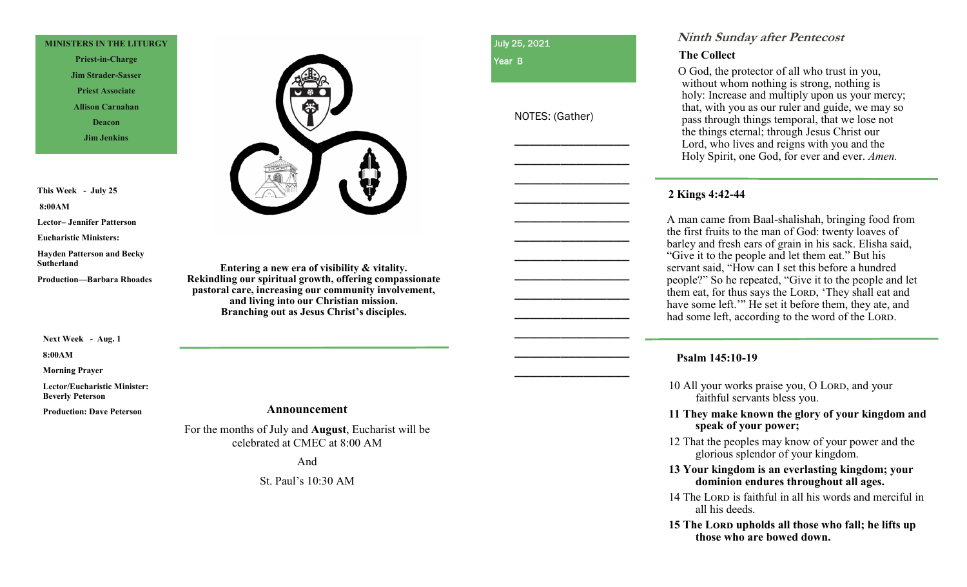#### **MINISTERS IN THE LITURGY**

**Priest-in-Charge Jim Strader-Sasser Priest Associate Allison Carnahan Deacon Jim Jenkins**

**This Week - July 25 8:00AM** 

**Lector– Jennifer Patterson**

**Eucharistic Ministers:** 

**Hayden Patterson and Becky Sutherland**

**Production—Barbara Rhoades**

**Next Week - Aug. 1**

**8:00AM** 

**Morning Prayer**

**Lector/Eucharistic Minister: Beverly Peterson**

**Production: Dave Peterson**



**Entering a new era of visibility & vitality. Rekindling our spiritual growth, offering compassionate pastoral care, increasing our community involvement, and living into our Christian mission. Branching out as Jesus Christ's disciples.** 

July 25, 2021

Year B

NOTES: (Gather)

\_\_\_\_\_\_\_\_\_\_\_\_\_\_\_

\_\_\_\_\_\_\_\_\_\_\_\_\_\_\_

\_\_\_\_\_\_\_\_\_\_\_\_\_\_\_

\_\_\_\_\_\_\_\_\_\_\_\_\_\_\_

\_\_\_\_\_\_\_\_\_\_\_\_\_\_\_

\_\_\_\_\_\_\_\_\_\_\_\_\_\_\_

\_\_\_\_\_\_\_\_\_\_\_\_\_\_\_

\_\_\_\_\_\_\_\_\_\_\_\_\_\_\_

\_\_\_\_\_\_\_\_\_\_\_\_\_\_\_

\_\_\_\_\_\_\_\_\_\_\_\_\_\_\_

\_\_\_\_\_\_\_\_\_\_\_\_\_\_\_

\_\_\_\_\_\_\_\_\_\_\_\_\_\_\_

\_\_\_\_\_\_\_\_\_\_\_\_\_\_\_

# **Ninth Sunday after Pentecost**

# **The Collect**

 O God, the protector of all who trust in you, without whom nothing is strong, nothing is holy: Increase and multiply upon us your mercy; that, with you as our ruler and guide, we may so pass through things temporal, that we lose not the things eternal; through Jesus Christ our Lord, who lives and reigns with you and the Holy Spirit, one God, for ever and ever. *Amen.*

# **2 Kings 4:42-44**

A man came from Baal-shalishah, bringing food from the first fruits to the man of God: twenty loaves of barley and fresh ears of grain in his sack. Elisha said, "Give it to the people and let them eat." But his servant said, "How can I set this before a hundred people?" So he repeated, "Give it to the people and let them eat, for thus says the Lord, 'They shall eat and have some left." He set it before them, they ate, and had some left, according to the word of the LORD.

# **Psalm 145:10-19**

10 All your works praise you, O LORD, and your faithful servants bless you.

**11 They make known the glory of your kingdom and speak of your power;**

12 That the peoples may know of your power and the glorious splendor of your kingdom.

### **13 Your kingdom is an everlasting kingdom; your dominion endures throughout all ages.**

14 The Lord is faithful in all his words and merciful in all his deeds.

**15 The Lord upholds all those who fall; he lifts up those who are bowed down.**

#### **Announcement**

For the months of July and **August**, Eucharist will be celebrated at CMEC at 8:00 AM

And

St. Paul's 10:30 AM